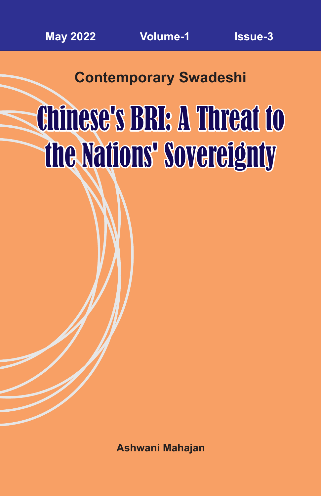## **Contemporary Swadeshi**

# Chinese's BRI: A Threat to the Nations' Sovereignty

**Ashwani Mahajan**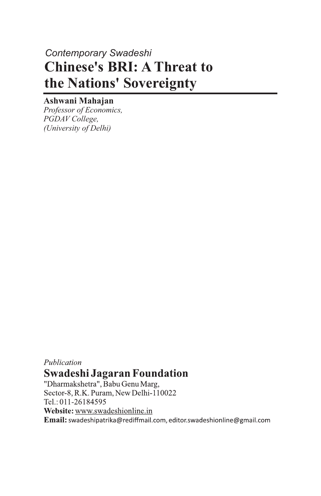## **Chinese's BRI: A Threat to the Nations' Sovereignty** *Contemporary Swadeshi*

#### **Ashwani Mahajan**

*Professor of Economics, PGDAV College, (University of Delhi)*

#### Publication **Swadeshi Jagaran Foundation**

"Dharmakshetra", Babu Genu Marg, Sector-8, R.K. Puram, New Delhi-110022 Tel.: 011-26184595 Website: www.swadeshionline.in Email: swadeshipatrika@rediffmail.com, editor.swadeshionline@gmail.com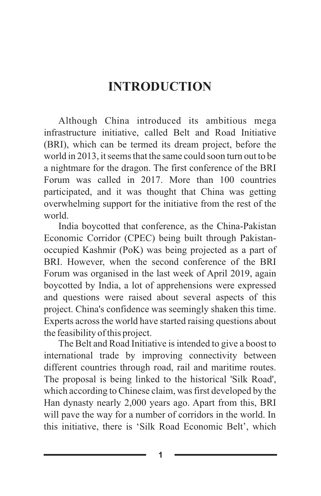### **INTRODUCTION**

Although China introduced its ambitious mega infrastructure initiative, called Belt and Road Initiative (BRI), which can be termed its dream project, before the world in 2013, it seems that the same could soon turn out to be a nightmare for the dragon. The first conference of the BRI Forum was called in 2017. More than 100 countries participated, and it was thought that China was getting overwhelming support for the initiative from the rest of the world.

India boycotted that conference, as the China-Pakistan Economic Corridor (CPEC) being built through Pakistanoccupied Kashmir (PoK) was being projected as a part of BRI. However, when the second conference of the BRI Forum was organised in the last week of April 2019, again boycotted by India, a lot of apprehensions were expressed and questions were raised about several aspects of this project. China's confidence was seemingly shaken this time. Experts across the world have started raising questions about the feasibility of this project.

The Belt and Road Initiative is intended to give a boost to international trade by improving connectivity between different countries through road, rail and maritime routes. The proposal is being linked to the historical 'Silk Road', which according to Chinese claim, was first developed by the Han dynasty nearly 2,000 years ago. Apart from this, BRI will pave the way for a number of corridors in the world. In this initiative, there is 'Silk Road Economic Belt', which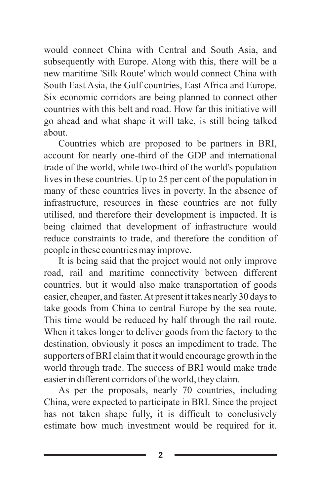would connect China with Central and South Asia, and subsequently with Europe. Along with this, there will be a new maritime 'Silk Route' which would connect China with South East Asia, the Gulf countries, East Africa and Europe. Six economic corridors are being planned to connect other countries with this belt and road. How far this initiative will go ahead and what shape it will take, is still being talked about.

Countries which are proposed to be partners in BRI, account for nearly one-third of the GDP and international trade of the world, while two-third of the world's population lives in these countries. Up to 25 per cent of the population in many of these countries lives in poverty. In the absence of infrastructure, resources in these countries are not fully utilised, and therefore their development is impacted. It is being claimed that development of infrastructure would reduce constraints to trade, and therefore the condition of people in these countries may improve.

It is being said that the project would not only improve road, rail and maritime connectivity between different countries, but it would also make transportation of goods easier, cheaper, and faster. At present it takes nearly 30 days to take goods from China to central Europe by the sea route. This time would be reduced by half through the rail route. When it takes longer to deliver goods from the factory to the destination, obviously it poses an impediment to trade. The supporters of BRI claim that it would encourage growth in the world through trade. The success of BRI would make trade easier in different corridors of the world, they claim.

As per the proposals, nearly 70 countries, including China, were expected to participate in BRI. Since the project has not taken shape fully, it is difficult to conclusively estimate how much investment would be required for it.

**2**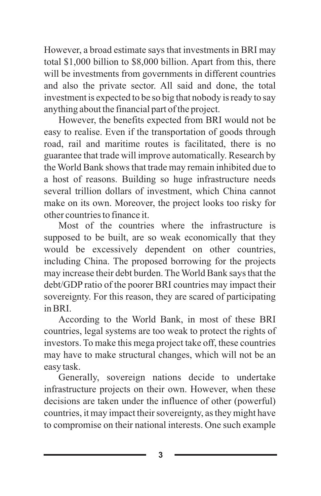However, a broad estimate says that investments in BRI may total \$1,000 billion to \$8,000 billion. Apart from this, there will be investments from governments in different countries and also the private sector. All said and done, the total investment is expected to be so big that nobody is ready to say anything about the financial part of the project.

However, the benefits expected from BRI would not be easy to realise. Even if the transportation of goods through road, rail and maritime routes is facilitated, there is no guarantee that trade will improve automatically. Research by the World Bank shows that trade may remain inhibited due to a host of reasons. Building so huge infrastructure needs several trillion dollars of investment, which China cannot make on its own. Moreover, the project looks too risky for other countries to finance it.

Most of the countries where the infrastructure is supposed to be built, are so weak economically that they would be excessively dependent on other countries, including China. The proposed borrowing for the projects may increase their debt burden. The World Bank says that the debt/GDP ratio of the poorer BRI countries may impact their sovereignty. For this reason, they are scared of participating in BRI.

According to the World Bank, in most of these BRI countries, legal systems are too weak to protect the rights of investors. To make this mega project take off, these countries may have to make structural changes, which will not be an easy task.

Generally, sovereign nations decide to undertake infrastructure projects on their own. However, when these decisions are taken under the influence of other (powerful) countries, it may impact their sovereignty, as they might have to compromise on their national interests. One such example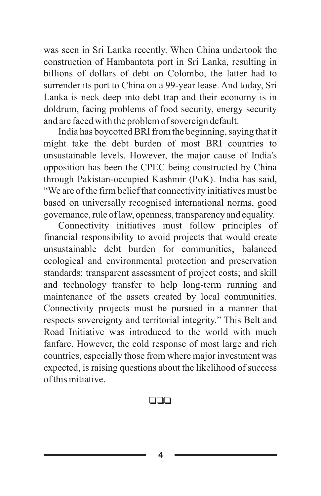was seen in Sri Lanka recently. When China undertook the construction of Hambantota port in Sri Lanka, resulting in billions of dollars of debt on Colombo, the latter had to surrender its port to China on a 99-year lease. And today, Sri Lanka is neck deep into debt trap and their economy is in doldrum, facing problems of food security, energy security and are faced with the problem of sovereign default.

India has boycotted BRI from the beginning, saying that it might take the debt burden of most BRI countries to unsustainable levels. However, the major cause of India's opposition has been the CPEC being constructed by China through Pakistan-occupied Kashmir (PoK). India has said, "We are of the firm belief that connectivity initiatives must be based on universally recognised international norms, good governance, rule of law, openness, transparency and equality.

Connectivity initiatives must follow principles of financial responsibility to avoid projects that would create unsustainable debt burden for communities; balanced ecological and environmental protection and preservation standards; transparent assessment of project costs; and skill and technology transfer to help long-term running and maintenance of the assets created by local communities. Connectivity projects must be pursued in a manner that respects sovereignty and territorial integrity." This Belt and Road Initiative was introduced to the world with much fanfare. However, the cold response of most large and rich countries, especially those from where major investment was expected, is raising questions about the likelihood of success of this initiative.

#### $\square\square\square$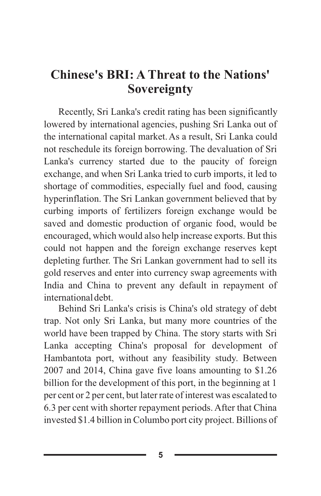## **Chinese's BRI: A Threat to the Nations' Sovereignty**

Recently, Sri Lanka's credit rating has been significantly lowered by international agencies, pushing Sri Lanka out of the international capital market. As a result, Sri Lanka could not reschedule its foreign borrowing. The devaluation of Sri Lanka's currency started due to the paucity of foreign exchange, and when Sri Lanka tried to curb imports, it led to shortage of commodities, especially fuel and food, causing hyperinflation. The Sri Lankan government believed that by curbing imports of fertilizers foreign exchange would be saved and domestic production of organic food, would be encouraged, which would also help increase exports. But this could not happen and the foreign exchange reserves kept depleting further. The Sri Lankan government had to sell its gold reserves and enter into currency swap agreements with India and China to prevent any default in repayment of international debt.

Behind Sri Lanka's crisis is China's old strategy of debt trap. Not only Sri Lanka, but many more countries of the world have been trapped by China. The story starts with Sri Lanka accepting China's proposal for development of Hambantota port, without any feasibility study. Between 2007 and 2014, China gave five loans amounting to \$1.26 billion for the development of this port, in the beginning at 1 per cent or 2 per cent, but later rate of interest was escalated to 6.3 per cent with shorter repayment periods. After that China invested \$1.4 billion in Columbo port city project. Billions of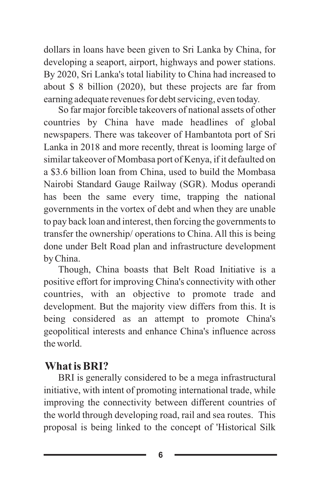dollars in loans have been given to Sri Lanka by China, for developing a seaport, airport, highways and power stations. By 2020, Sri Lanka's total liability to China had increased to about \$ 8 billion (2020), but these projects are far from earning adequate revenues for debt servicing, even today.

So far major forcible takeovers of national assets of other countries by China have made headlines of global newspapers. There was takeover of Hambantota port of Sri Lanka in 2018 and more recently, threat is looming large of similar takeover of Mombasa port of Kenya, if it defaulted on a \$3.6 billion loan from China, used to build the Mombasa Nairobi Standard Gauge Railway (SGR). Modus operandi has been the same every time, trapping the national governments in the vortex of debt and when they are unable to pay back loan and interest, then forcing the governments to transfer the ownership/ operations to China. All this is being done under Belt Road plan and infrastructure development by China.

Though, China boasts that Belt Road Initiative is a positive effort for improving China's connectivity with other countries, with an objective to promote trade and development. But the majority view differs from this. It is being considered as an attempt to promote China's geopolitical interests and enhance China's influence across the world.

#### **What is BRI?**

BRI is generally considered to be a mega infrastructural initiative, with intent of promoting international trade, while improving the connectivity between different countries of the world through developing road, rail and sea routes. This proposal is being linked to the concept of 'Historical Silk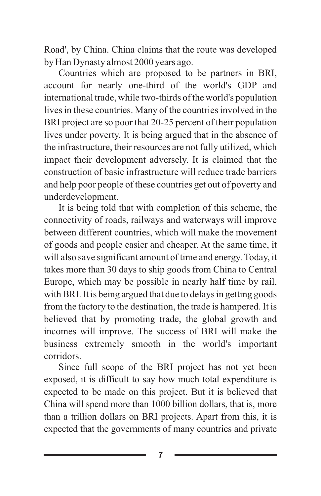Road', by China. China claims that the route was developed by Han Dynasty almost 2000 years ago.

Countries which are proposed to be partners in BRI, account for nearly one-third of the world's GDP and international trade, while two-thirds of the world's population lives in these countries. Many of the countries involved in the BRI project are so poor that 20-25 percent of their population lives under poverty. It is being argued that in the absence of the infrastructure, their resources are not fully utilized, which impact their development adversely. It is claimed that the construction of basic infrastructure will reduce trade barriers and help poor people of these countries get out of poverty and underdevelopment.

It is being told that with completion of this scheme, the connectivity of roads, railways and waterways will improve between different countries, which will make the movement of goods and people easier and cheaper. At the same time, it will also save significant amount of time and energy. Today, it takes more than 30 days to ship goods from China to Central Europe, which may be possible in nearly half time by rail, with BRI. It is being argued that due to delays in getting goods from the factory to the destination, the trade is hampered. It is believed that by promoting trade, the global growth and incomes will improve. The success of BRI will make the business extremely smooth in the world's important corridors.

Since full scope of the BRI project has not yet been exposed, it is difficult to say how much total expenditure is expected to be made on this project. But it is believed that China will spend more than 1000 billion dollars, that is, more than a trillion dollars on BRI projects. Apart from this, it is expected that the governments of many countries and private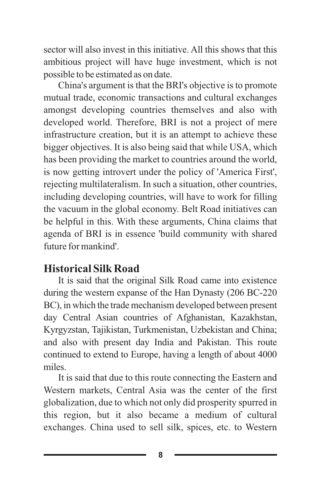sector will also invest in this initiative. All this shows that this ambitious project will have huge investment, which is not possible to be estimated as on date.

China's argument is that the BRI's objective is to promote mutual trade, economic transactions and cultural exchanges amongst developing countries themselves and also with developed world. Therefore, BRI is not a project of mere infrastructure creation, but it is an attempt to achieve these bigger objectives. It is also being said that while USA, which has been providing the market to countries around the world, is now getting introvert under the policy of 'America First', rejecting multilateralism. In such a situation, other countries, including developing countries, will have to work for filling the vacuum in the global economy. Belt Road initiatives can be helpful in this. With these arguments, China claims that agenda of BRI is in essence 'build community with shared future for mankind'.

#### **Historical Silk Road**

It is said that the original Silk Road came into existence during the western expanse of the Han Dynasty (206 BC-220 BC), in which the trade mechanism developed between present day Central Asian countries of Afghanistan, Kazakhstan, Kyrgyzstan, Tajikistan, Turkmenistan, Uzbekistan and China; and also with present day India and Pakistan. This route continued to extend to Europe, having a length of about 4000 miles.

It is said that due to this route connecting the Eastern and Western markets, Central Asia was the center of the first globalization, due to which not only did prosperity spurred in this region, but it also became a medium of cultural exchanges. China used to sell silk, spices, etc. to Western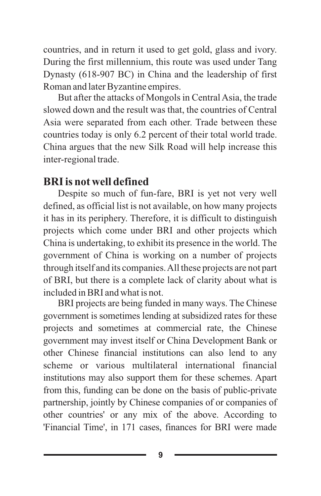countries, and in return it used to get gold, glass and ivory. During the first millennium, this route was used under Tang Dynasty (618-907 BC) in China and the leadership of first Roman and later Byzantine empires.

But after the attacks of Mongols in Central Asia, the trade slowed down and the result was that, the countries of Central Asia were separated from each other. Trade between these countries today is only 6.2 percent of their total world trade. China argues that the new Silk Road will help increase this inter-regional trade.

#### **BRI is not well defined**

Despite so much of fun-fare, BRI is yet not very well defined, as official list is not available, on how many projects it has in its periphery. Therefore, it is difficult to distinguish projects which come under BRI and other projects which China is undertaking, to exhibit its presence in the world. The government of China is working on a number of projects through itself and its companies. All these projects are not part of BRI, but there is a complete lack of clarity about what is included in BRI and what is not.

BRI projects are being funded in many ways. The Chinese government is sometimes lending at subsidized rates for these projects and sometimes at commercial rate, the Chinese government may invest itself or China Development Bank or other Chinese financial institutions can also lend to any scheme or various multilateral international financial institutions may also support them for these schemes. Apart from this, funding can be done on the basis of public-private partnership, jointly by Chinese companies of or companies of other countries' or any mix of the above. According to 'Financial Time', in 171 cases, finances for BRI were made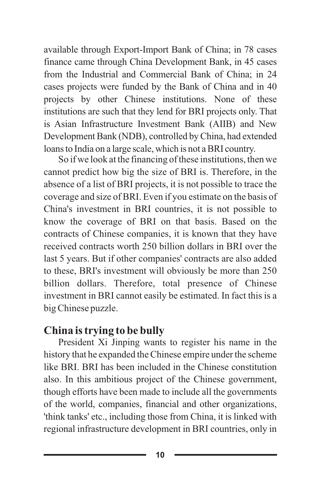available through Export-Import Bank of China; in 78 cases finance came through China Development Bank, in 45 cases from the Industrial and Commercial Bank of China; in 24 cases projects were funded by the Bank of China and in 40 projects by other Chinese institutions. None of these institutions are such that they lend for BRI projects only. That is Asian Infrastructure Investment Bank (AIIB) and New Development Bank (NDB), controlled by China, had extended loans to India on a large scale, which is not a BRI country.

So if we look at the financing of these institutions, then we cannot predict how big the size of BRI is. Therefore, in the absence of a list of BRI projects, it is not possible to trace the coverage and size of BRI. Even if you estimate on the basis of China's investment in BRI countries, it is not possible to know the coverage of BRI on that basis. Based on the contracts of Chinese companies, it is known that they have received contracts worth 250 billion dollars in BRI over the last 5 years. But if other companies' contracts are also added to these, BRI's investment will obviously be more than 250 billion dollars. Therefore, total presence of Chinese investment in BRI cannot easily be estimated. In fact this is a big Chinese puzzle.

#### **China is trying to be bully**

President Xi Jinping wants to register his name in the history that he expanded the Chinese empire under the scheme like BRI. BRI has been included in the Chinese constitution also. In this ambitious project of the Chinese government, though efforts have been made to include all the governments of the world, companies, financial and other organizations, 'think tanks' etc., including those from China, it is linked with regional infrastructure development in BRI countries, only in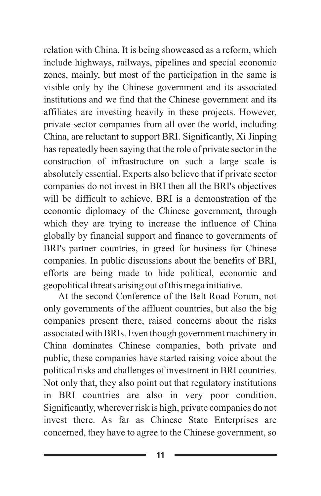relation with China. It is being showcased as a reform, which include highways, railways, pipelines and special economic zones, mainly, but most of the participation in the same is visible only by the Chinese government and its associated institutions and we find that the Chinese government and its affiliates are investing heavily in these projects. However, private sector companies from all over the world, including China, are reluctant to support BRI. Significantly, Xi Jinping has repeatedly been saying that the role of private sector in the construction of infrastructure on such a large scale is absolutely essential. Experts also believe that if private sector companies do not invest in BRI then all the BRI's objectives will be difficult to achieve. BRI is a demonstration of the economic diplomacy of the Chinese government, through which they are trying to increase the influence of China globally by financial support and finance to governments of BRI's partner countries, in greed for business for Chinese companies. In public discussions about the benefits of BRI, efforts are being made to hide political, economic and geopolitical threats arising out of this mega initiative.

At the second Conference of the Belt Road Forum, not only governments of the affluent countries, but also the big companies present there, raised concerns about the risks associated with BRIs. Even though government machinery in China dominates Chinese companies, both private and public, these companies have started raising voice about the political risks and challenges of investment in BRI countries. Not only that, they also point out that regulatory institutions in BRI countries are also in very poor condition. Significantly, wherever risk is high, private companies do not invest there. As far as Chinese State Enterprises are concerned, they have to agree to the Chinese government, so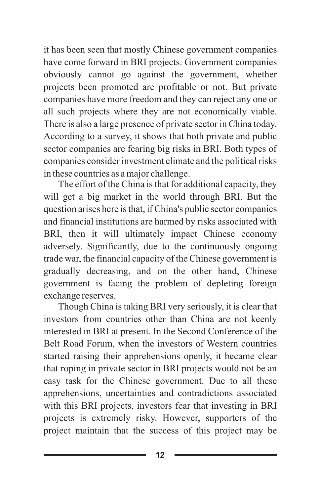it has been seen that mostly Chinese government companies have come forward in BRI projects. Government companies obviously cannot go against the government, whether projects been promoted are profitable or not. But private companies have more freedom and they can reject any one or all such projects where they are not economically viable. There is also a large presence of private sector in China today. According to a survey, it shows that both private and public sector companies are fearing big risks in BRI. Both types of companies consider investment climate and the political risks in these countries as a major challenge.

The effort of the China is that for additional capacity, they will get a big market in the world through BRI. But the question arises here is that, if China's public sector companies and financial institutions are harmed by risks associated with BRI, then it will ultimately impact Chinese economy adversely. Significantly, due to the continuously ongoing trade war, the financial capacity of the Chinese government is gradually decreasing, and on the other hand, Chinese government is facing the problem of depleting foreign exchange reserves.

Though China is taking BRI very seriously, it is clear that investors from countries other than China are not keenly interested in BRI at present. In the Second Conference of the Belt Road Forum, when the investors of Western countries started raising their apprehensions openly, it became clear that roping in private sector in BRI projects would not be an easy task for the Chinese government. Due to all these apprehensions, uncertainties and contradictions associated with this BRI projects, investors fear that investing in BRI projects is extremely risky. However, supporters of the project maintain that the success of this project may be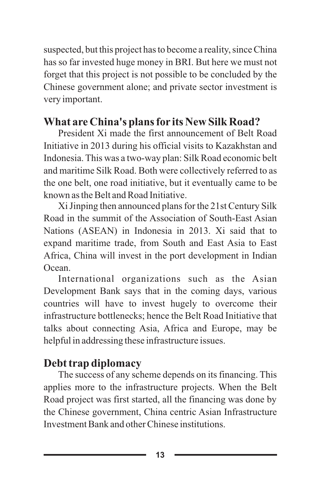suspected, but this project has to become a reality, since China has so far invested huge money in BRI. But here we must not forget that this project is not possible to be concluded by the Chinese government alone; and private sector investment is very important.

#### **What are China's plans for its New Silk Road?**

President Xi made the first announcement of Belt Road Initiative in 2013 during his official visits to Kazakhstan and Indonesia. This was a two-way plan: Silk Road economic belt and maritime Silk Road. Both were collectively referred to as the one belt, one road initiative, but it eventually came to be known as the Belt and Road Initiative.

Xi Jinping then announced plans for the 21st Century Silk Road in the summit of the Association of South-East Asian Nations (ASEAN) in Indonesia in 2013. Xi said that to expand maritime trade, from South and East Asia to East Africa, China will invest in the port development in Indian Ocean.

International organizations such as the Asian Development Bank says that in the coming days, various countries will have to invest hugely to overcome their infrastructure bottlenecks; hence the Belt Road Initiative that talks about connecting Asia, Africa and Europe, may be helpful in addressing these infrastructure issues.

#### **Debt trap diplomacy**

The success of any scheme depends on its financing. This applies more to the infrastructure projects. When the Belt Road project was first started, all the financing was done by the Chinese government, China centric Asian Infrastructure Investment Bank and other Chinese institutions.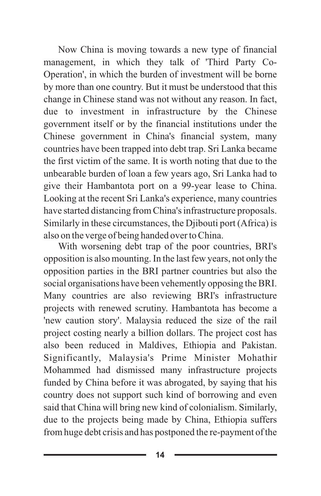Now China is moving towards a new type of financial management, in which they talk of 'Third Party Co-Operation', in which the burden of investment will be borne by more than one country. But it must be understood that this change in Chinese stand was not without any reason. In fact, due to investment in infrastructure by the Chinese government itself or by the financial institutions under the Chinese government in China's financial system, many countries have been trapped into debt trap. Sri Lanka became the first victim of the same. It is worth noting that due to the unbearable burden of loan a few years ago, Sri Lanka had to give their Hambantota port on a 99-year lease to China. Looking at the recent Sri Lanka's experience, many countries have started distancing from China's infrastructure proposals. Similarly in these circumstances, the Djibouti port (Africa) is also on the verge of being handed over to China.

With worsening debt trap of the poor countries, BRI's opposition is also mounting. In the last few years, not only the opposition parties in the BRI partner countries but also the social organisations have been vehemently opposing the BRI. Many countries are also reviewing BRI's infrastructure projects with renewed scrutiny. Hambantota has become a 'new caution story'. Malaysia reduced the size of the rail project costing nearly a billion dollars. The project cost has also been reduced in Maldives, Ethiopia and Pakistan. Significantly, Malaysia's Prime Minister Mohathir Mohammed had dismissed many infrastructure projects funded by China before it was abrogated, by saying that his country does not support such kind of borrowing and even said that China will bring new kind of colonialism. Similarly, due to the projects being made by China, Ethiopia suffers from huge debt crisis and has postponed the re-payment of the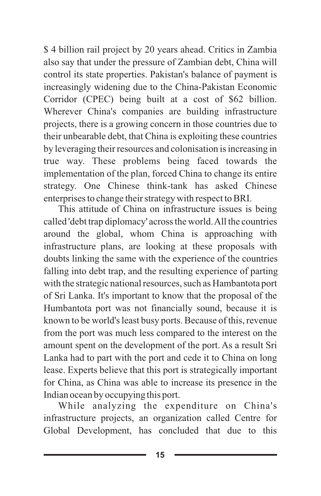\$ 4 billion rail project by 20 years ahead. Critics in Zambia also say that under the pressure of Zambian debt, China will control its state properties. Pakistan's balance of payment is increasingly widening due to the China-Pakistan Economic Corridor (CPEC) being built at a cost of \$62 billion. Wherever China's companies are building infrastructure projects, there is a growing concern in those countries due to their unbearable debt, that China is exploiting these countries by leveraging their resources and colonisation is increasing in true way. These problems being faced towards the implementation of the plan, forced China to change its entire strategy. One Chinese think-tank has asked Chinese enterprises to change their strategy with respect to BRI.

This attitude of China on infrastructure issues is being called 'debt trap diplomacy' across the world. All the countries around the global, whom China is approaching with infrastructure plans, are looking at these proposals with doubts linking the same with the experience of the countries falling into debt trap, and the resulting experience of parting with the strategic national resources, such as Hambantota port of Sri Lanka. It's important to know that the proposal of the Humbantota port was not financially sound, because it is known to be world's least busy ports. Because of this, revenue from the port was much less compared to the interest on the amount spent on the development of the port. As a result Sri Lanka had to part with the port and cede it to China on long lease. Experts believe that this port is strategically important for China, as China was able to increase its presence in the Indian ocean by occupying this port.

While analyzing the expenditure on China's infrastructure projects, an organization called Centre for Global Development, has concluded that due to this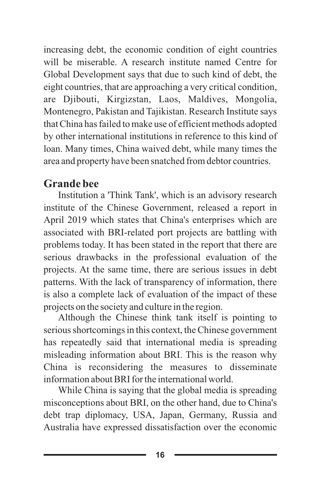increasing debt, the economic condition of eight countries will be miserable. A research institute named Centre for Global Development says that due to such kind of debt, the eight countries, that are approaching a very critical condition, are Djibouti, Kirgizstan, Laos, Maldives, Mongolia, Montenegro, Pakistan and Tajikistan. Research Institute says that China has failed to make use of efficient methods adopted by other international institutions in reference to this kind of loan. Many times, China waived debt, while many times the area and property have been snatched from debtor countries.

#### **Grande bee**

Institution a 'Think Tank', which is an advisory research institute of the Chinese Government, released a report in April 2019 which states that China's enterprises which are associated with BRI-related port projects are battling with problems today. It has been stated in the report that there are serious drawbacks in the professional evaluation of the projects. At the same time, there are serious issues in debt patterns. With the lack of transparency of information, there is also a complete lack of evaluation of the impact of these projects on the society and culture in the region.

Although the Chinese think tank itself is pointing to serious shortcomings in this context, the Chinese government has repeatedly said that international media is spreading misleading information about BRI. This is the reason why China is reconsidering the measures to disseminate information about BRI for the international world.

While China is saying that the global media is spreading misconceptions about BRI, on the other hand, due to China's debt trap diplomacy, USA, Japan, Germany, Russia and Australia have expressed dissatisfaction over the economic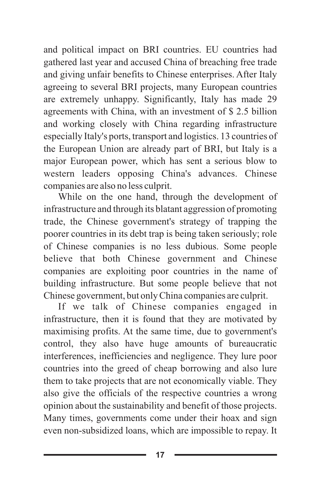and political impact on BRI countries. EU countries had gathered last year and accused China of breaching free trade and giving unfair benefits to Chinese enterprises. After Italy agreeing to several BRI projects, many European countries are extremely unhappy. Significantly, Italy has made 29 agreements with China, with an investment of \$ 2.5 billion and working closely with China regarding infrastructure especially Italy's ports, transport and logistics. 13 countries of the European Union are already part of BRI, but Italy is a major European power, which has sent a serious blow to western leaders opposing China's advances. Chinese companies are also no less culprit.

While on the one hand, through the development of infrastructure and through its blatant aggression of promoting trade, the Chinese government's strategy of trapping the poorer countries in its debt trap is being taken seriously; role of Chinese companies is no less dubious. Some people believe that both Chinese government and Chinese companies are exploiting poor countries in the name of building infrastructure. But some people believe that not Chinese government, but only China companies are culprit.

If we talk of Chinese companies engaged in infrastructure, then it is found that they are motivated by maximising profits. At the same time, due to government's control, they also have huge amounts of bureaucratic interferences, inefficiencies and negligence. They lure poor countries into the greed of cheap borrowing and also lure them to take projects that are not economically viable. They also give the officials of the respective countries a wrong opinion about the sustainability and benefit of those projects. Many times, governments come under their hoax and sign even non-subsidized loans, which are impossible to repay. It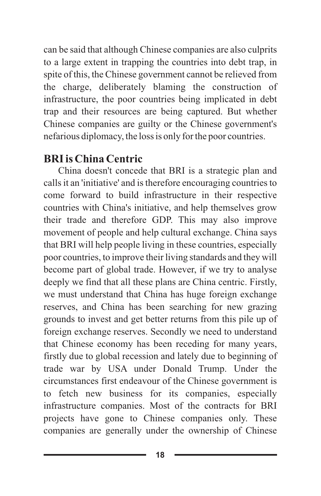can be said that although Chinese companies are also culprits to a large extent in trapping the countries into debt trap, in spite of this, the Chinese government cannot be relieved from the charge, deliberately blaming the construction of infrastructure, the poor countries being implicated in debt trap and their resources are being captured. But whether Chinese companies are guilty or the Chinese government's nefarious diplomacy, the loss is only for the poor countries.

#### **BRI is China Centric**

China doesn't concede that BRI is a strategic plan and calls it an 'initiative' and is therefore encouraging countries to come forward to build infrastructure in their respective countries with China's initiative, and help themselves grow their trade and therefore GDP. This may also improve movement of people and help cultural exchange. China says that BRI will help people living in these countries, especially poor countries, to improve their living standards and they will become part of global trade. However, if we try to analyse deeply we find that all these plans are China centric. Firstly, we must understand that China has huge foreign exchange reserves, and China has been searching for new grazing grounds to invest and get better returns from this pile up of foreign exchange reserves. Secondly we need to understand that Chinese economy has been receding for many years, firstly due to global recession and lately due to beginning of trade war by USA under Donald Trump. Under the circumstances first endeavour of the Chinese government is to fetch new business for its companies, especially infrastructure companies. Most of the contracts for BRI projects have gone to Chinese companies only. These companies are generally under the ownership of Chinese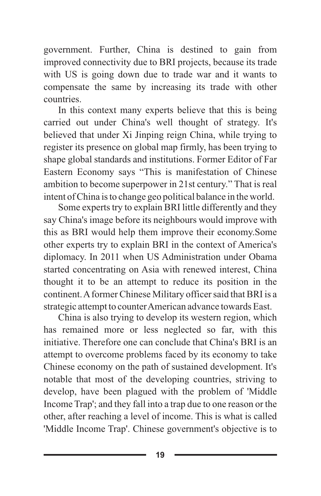government. Further, China is destined to gain from improved connectivity due to BRI projects, because its trade with US is going down due to trade war and it wants to compensate the same by increasing its trade with other countries.

In this context many experts believe that this is being carried out under China's well thought of strategy. It's believed that under Xi Jinping reign China, while trying to register its presence on global map firmly, has been trying to shape global standards and institutions. Former Editor of Far Eastern Economy says "This is manifestation of Chinese ambition to become superpower in 21st century." That is real intent of China is to change geo political balance in the world.

Some experts try to explain BRI little differently and they say China's image before its neighbours would improve with this as BRI would help them improve their economy.Some other experts try to explain BRI in the context of America's diplomacy. In 2011 when US Administration under Obama started concentrating on Asia with renewed interest, China thought it to be an attempt to reduce its position in the continent. Aformer Chinese Military officer said that BRI is a strategic attempt to counter American advance towards East.

China is also trying to develop its western region, which has remained more or less neglected so far, with this initiative. Therefore one can conclude that China's BRI is an attempt to overcome problems faced by its economy to take Chinese economy on the path of sustained development. It's notable that most of the developing countries, striving to develop, have been plagued with the problem of 'Middle Income Trap'; and they fall into a trap due to one reason or the other, after reaching a level of income. This is what is called 'Middle Income Trap'. Chinese government's objective is to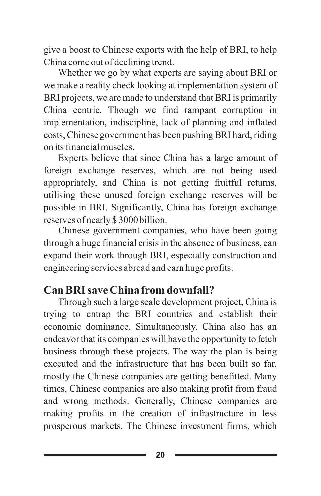give a boost to Chinese exports with the help of BRI, to help China come out of declining trend.

Whether we go by what experts are saying about BRI or we make a reality check looking at implementation system of BRI projects, we are made to understand that BRI is primarily China centric. Though we find rampant corruption in implementation, indiscipline, lack of planning and inflated costs, Chinese government has been pushing BRI hard, riding on its financial muscles.

Experts believe that since China has a large amount of foreign exchange reserves, which are not being used appropriately, and China is not getting fruitful returns, utilising these unused foreign exchange reserves will be possible in BRI. Significantly, China has foreign exchange reserves of nearly \$ 3000 billion.

Chinese government companies, who have been going through a huge financial crisis in the absence of business, can expand their work through BRI, especially construction and engineering services abroad and earn huge profits.

#### **Can BRI save China from downfall?**

Through such a large scale development project, China is trying to entrap the BRI countries and establish their economic dominance. Simultaneously, China also has an endeavor that its companies will have the opportunity to fetch business through these projects. The way the plan is being executed and the infrastructure that has been built so far, mostly the Chinese companies are getting benefitted. Many times, Chinese companies are also making profit from fraud and wrong methods. Generally, Chinese companies are making profits in the creation of infrastructure in less prosperous markets. The Chinese investment firms, which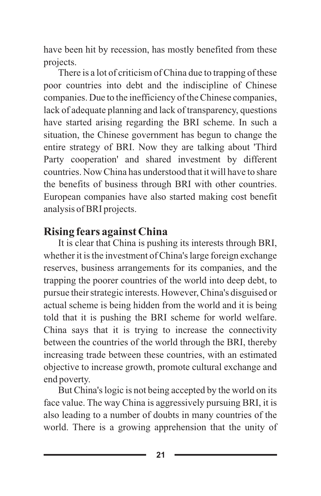have been hit by recession, has mostly benefited from these projects.

There is a lot of criticism of China due to trapping of these poor countries into debt and the indiscipline of Chinese companies. Due to the inefficiency of the Chinese companies, lack of adequate planning and lack of transparency, questions have started arising regarding the BRI scheme. In such a situation, the Chinese government has begun to change the entire strategy of BRI. Now they are talking about 'Third Party cooperation' and shared investment by different countries. Now China has understood that it will have to share the benefits of business through BRI with other countries. European companies have also started making cost benefit analysis of BRI projects.

#### **Rising fears against China**

It is clear that China is pushing its interests through BRI, whether it is the investment of China's large foreign exchange reserves, business arrangements for its companies, and the trapping the poorer countries of the world into deep debt, to pursue their strategic interests. However, China's disguised or actual scheme is being hidden from the world and it is being told that it is pushing the BRI scheme for world welfare. China says that it is trying to increase the connectivity between the countries of the world through the BRI, thereby increasing trade between these countries, with an estimated objective to increase growth, promote cultural exchange and end poverty.

But China's logic is not being accepted by the world on its face value. The way China is aggressively pursuing BRI, it is also leading to a number of doubts in many countries of the world. There is a growing apprehension that the unity of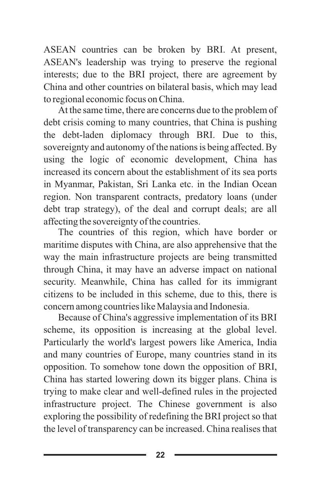ASEAN countries can be broken by BRI. At present, ASEAN's leadership was trying to preserve the regional interests; due to the BRI project, there are agreement by China and other countries on bilateral basis, which may lead to regional economic focus on China.

At the same time, there are concerns due to the problem of debt crisis coming to many countries, that China is pushing the debt-laden diplomacy through BRI. Due to this, sovereignty and autonomy of the nations is being affected. By using the logic of economic development, China has increased its concern about the establishment of its sea ports in Myanmar, Pakistan, Sri Lanka etc. in the Indian Ocean region. Non transparent contracts, predatory loans (under debt trap strategy), of the deal and corrupt deals; are all affecting the sovereignty of the countries.

The countries of this region, which have border or maritime disputes with China, are also apprehensive that the way the main infrastructure projects are being transmitted through China, it may have an adverse impact on national security. Meanwhile, China has called for its immigrant citizens to be included in this scheme, due to this, there is concern among countries like Malaysia and Indonesia.

Because of China's aggressive implementation of its BRI scheme, its opposition is increasing at the global level. Particularly the world's largest powers like America, India and many countries of Europe, many countries stand in its opposition. To somehow tone down the opposition of BRI, China has started lowering down its bigger plans. China is trying to make clear and well-defined rules in the projected infrastructure project. The Chinese government is also exploring the possibility of redefining the BRI project so that the level of transparency can be increased. China realises that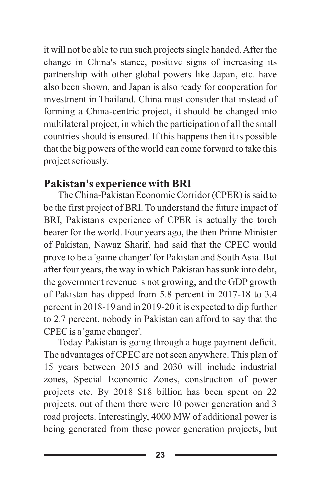it will not be able to run such projects single handed. After the change in China's stance, positive signs of increasing its partnership with other global powers like Japan, etc. have also been shown, and Japan is also ready for cooperation for investment in Thailand. China must consider that instead of forming a China-centric project, it should be changed into multilateral project, in which the participation of all the small countries should is ensured. If this happens then it is possible that the big powers of the world can come forward to take this project seriously.

#### **Pakistan's experience with BRI**

The China-Pakistan Economic Corridor (CPER) is said to be the first project of BRI. To understand the future impact of BRI, Pakistan's experience of CPER is actually the torch bearer for the world. Four years ago, the then Prime Minister of Pakistan, Nawaz Sharif, had said that the CPEC would prove to be a 'game changer' for Pakistan and South Asia. But after four years, the way in which Pakistan has sunk into debt, the government revenue is not growing, and the GDP growth of Pakistan has dipped from 5.8 percent in 2017-18 to 3.4 percent in 2018-19 and in 2019-20 it is expected to dip further to 2.7 percent, nobody in Pakistan can afford to say that the CPEC is a 'game changer'.

Today Pakistan is going through a huge payment deficit. The advantages of CPEC are not seen anywhere. This plan of 15 years between 2015 and 2030 will include industrial zones, Special Economic Zones, construction of power projects etc. By 2018 \$18 billion has been spent on 22 projects, out of them there were 10 power generation and 3 road projects. Interestingly, 4000 MW of additional power is being generated from these power generation projects, but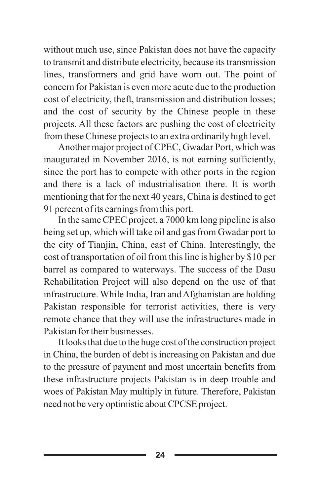without much use, since Pakistan does not have the capacity to transmit and distribute electricity, because its transmission lines, transformers and grid have worn out. The point of concern for Pakistan is even more acute due to the production cost of electricity, theft, transmission and distribution losses; and the cost of security by the Chinese people in these projects. All these factors are pushing the cost of electricity from these Chinese projects to an extra ordinarily high level.

Another major project of CPEC, Gwadar Port, which was inaugurated in November 2016, is not earning sufficiently, since the port has to compete with other ports in the region and there is a lack of industrialisation there. It is worth mentioning that for the next 40 years, China is destined to get 91 percent of its earnings from this port.

In the same CPEC project, a 7000 km long pipeline is also being set up, which will take oil and gas from Gwadar port to the city of Tianjin, China, east of China. Interestingly, the cost of transportation of oil from this line is higher by \$10 per barrel as compared to waterways. The success of the Dasu Rehabilitation Project will also depend on the use of that infrastructure. While India, Iran and Afghanistan are holding Pakistan responsible for terrorist activities, there is very remote chance that they will use the infrastructures made in Pakistan for their businesses.

It looks that due to the huge cost of the construction project in China, the burden of debt is increasing on Pakistan and due to the pressure of payment and most uncertain benefits from these infrastructure projects Pakistan is in deep trouble and woes of Pakistan May multiply in future. Therefore, Pakistan need not be very optimistic about CPCSE project.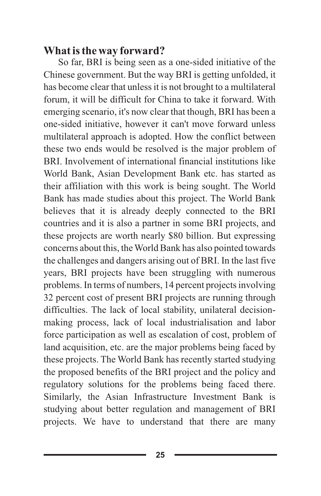#### **What is the way forward?**

So far, BRI is being seen as a one-sided initiative of the Chinese government. But the way BRI is getting unfolded, it has become clear that unless it is not brought to a multilateral forum, it will be difficult for China to take it forward. With emerging scenario, it's now clear that though, BRI has been a one-sided initiative, however it can't move forward unless multilateral approach is adopted. How the conflict between these two ends would be resolved is the major problem of BRI. Involvement of international financial institutions like World Bank, Asian Development Bank etc. has started as their affiliation with this work is being sought. The World Bank has made studies about this project. The World Bank believes that it is already deeply connected to the BRI countries and it is also a partner in some BRI projects, and these projects are worth nearly \$80 billion. But expressing concerns about this, the World Bank has also pointed towards the challenges and dangers arising out of BRI. In the last five years, BRI projects have been struggling with numerous problems. In terms of numbers, 14 percent projects involving 32 percent cost of present BRI projects are running through difficulties. The lack of local stability, unilateral decisionmaking process, lack of local industrialisation and labor force participation as well as escalation of cost, problem of land acquisition, etc. are the major problems being faced by these projects. The World Bank has recently started studying the proposed benefits of the BRI project and the policy and regulatory solutions for the problems being faced there. Similarly, the Asian Infrastructure Investment Bank is studying about better regulation and management of BRI projects. We have to understand that there are many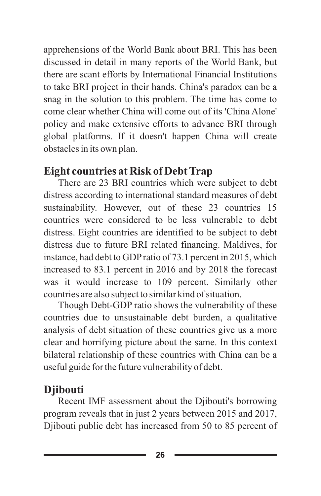apprehensions of the World Bank about BRI. This has been discussed in detail in many reports of the World Bank, but there are scant efforts by International Financial Institutions to take BRI project in their hands. China's paradox can be a snag in the solution to this problem. The time has come to come clear whether China will come out of its 'China Alone' policy and make extensive efforts to advance BRI through global platforms. If it doesn't happen China will create obstacles in its own plan.

#### **Eight countries at Risk of Debt Trap**

There are 23 BRI countries which were subject to debt distress according to international standard measures of debt sustainability. However, out of these 23 countries 15 countries were considered to be less vulnerable to debt distress. Eight countries are identified to be subject to debt distress due to future BRI related financing. Maldives, for instance, had debt to GDPratio of 73.1 percent in 2015, which increased to 83.1 percent in 2016 and by 2018 the forecast was it would increase to 109 percent. Similarly other countries are also subject to similar kind of situation.

Though Debt-GDP ratio shows the vulnerability of these countries due to unsustainable debt burden, a qualitative analysis of debt situation of these countries give us a more clear and horrifying picture about the same. In this context bilateral relationship of these countries with China can be a useful guide for the future vulnerability of debt.

### **Djibouti**

Recent IMF assessment about the Djibouti's borrowing program reveals that in just 2 years between 2015 and 2017, Djibouti public debt has increased from 50 to 85 percent of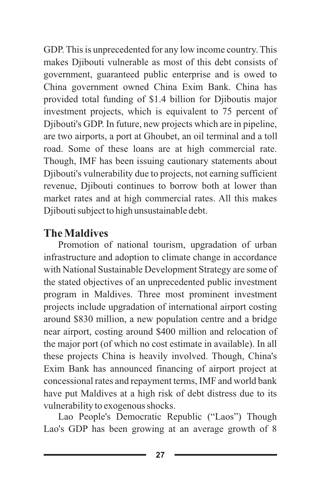GDP. This is unprecedented for any low income country. This makes Djibouti vulnerable as most of this debt consists of government, guaranteed public enterprise and is owed to China government owned China Exim Bank. China has provided total funding of \$1.4 billion for Djiboutis major investment projects, which is equivalent to 75 percent of Djibouti's GDP. In future, new projects which are in pipeline, are two airports, a port at Ghoubet, an oil terminal and a toll road. Some of these loans are at high commercial rate. Though, IMF has been issuing cautionary statements about Djibouti's vulnerability due to projects, not earning sufficient revenue, Djibouti continues to borrow both at lower than market rates and at high commercial rates. All this makes Djibouti subject to high unsustainable debt.

#### **The Maldives**

Promotion of national tourism, upgradation of urban infrastructure and adoption to climate change in accordance with National Sustainable Development Strategy are some of the stated objectives of an unprecedented public investment program in Maldives. Three most prominent investment projects include upgradation of international airport costing around \$830 million, a new population centre and a bridge near airport, costing around \$400 million and relocation of the major port (of which no cost estimate in available). In all these projects China is heavily involved. Though, China's Exim Bank has announced financing of airport project at concessional rates and repayment terms, IMF and world bank have put Maldives at a high risk of debt distress due to its vulnerability to exogenous shocks.

Lao People's Democratic Republic ("Laos") Though Lao's GDP has been growing at an average growth of 8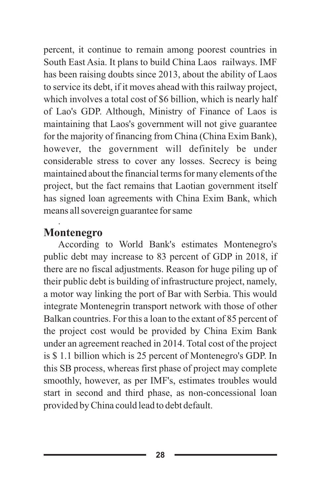percent, it continue to remain among poorest countries in South East Asia. It plans to build China Laos railways. IMF has been raising doubts since 2013, about the ability of Laos to service its debt, if it moves ahead with this railway project, which involves a total cost of \$6 billion, which is nearly half of Lao's GDP. Although, Ministry of Finance of Laos is maintaining that Laos's government will not give guarantee for the majority of financing from China (China Exim Bank), however, the government will definitely be under considerable stress to cover any losses. Secrecy is being maintained about the financial terms for many elements of the project, but the fact remains that Laotian government itself has signed loan agreements with China Exim Bank, which means all sovereign guarantee for same

#### **Montenegro**

.

According to World Bank's estimates Montenegro's public debt may increase to 83 percent of GDP in 2018, if there are no fiscal adjustments. Reason for huge piling up of their public debt is building of infrastructure project, namely, a motor way linking the port of Bar with Serbia. This would integrate Montenegrin transport network with those of other Balkan countries. For this a loan to the extant of 85 percent of the project cost would be provided by China Exim Bank under an agreement reached in 2014. Total cost of the project is \$ 1.1 billion which is 25 percent of Montenegro's GDP. In this SB process, whereas first phase of project may complete smoothly, however, as per IMF's, estimates troubles would start in second and third phase, as non-concessional loan provided by China could lead to debt default.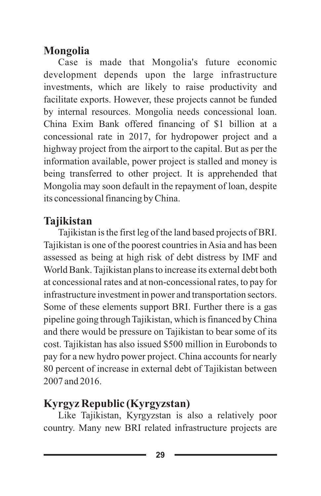#### **Mongolia**

Case is made that Mongolia's future economic development depends upon the large infrastructure investments, which are likely to raise productivity and facilitate exports. However, these projects cannot be funded by internal resources. Mongolia needs concessional loan. China Exim Bank offered financing of \$1 billion at a concessional rate in 2017, for hydropower project and a highway project from the airport to the capital. But as per the information available, power project is stalled and money is being transferred to other project. It is apprehended that Mongolia may soon default in the repayment of loan, despite its concessional financing by China.

#### **Tajikistan**

Tajikistan is the first leg of the land based projects of BRI. Tajikistan is one of the poorest countries in Asia and has been assessed as being at high risk of debt distress by IMF and World Bank. Tajikistan plans to increase its external debt both at concessional rates and at non-concessional rates, to pay for infrastructure investment in power and transportation sectors. Some of these elements support BRI. Further there is a gas pipeline going through Tajikistan, which is financed by China and there would be pressure on Tajikistan to bear some of its cost. Tajikistan has also issued \$500 million in Eurobonds to pay for a new hydro power project. China accounts for nearly 80 percent of increase in external debt of Tajikistan between 2007 and 2016.

### **Kyrgyz Republic (Kyrgyzstan)**

Like Tajikistan, Kyrgyzstan is also a relatively poor country. Many new BRI related infrastructure projects are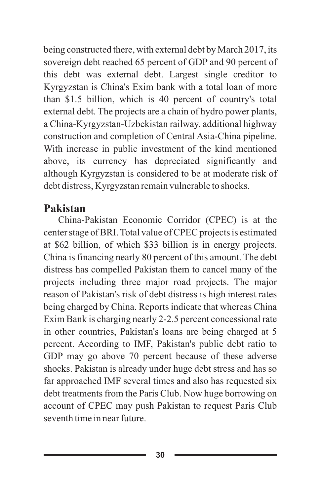being constructed there, with external debt by March 2017, its sovereign debt reached 65 percent of GDP and 90 percent of this debt was external debt. Largest single creditor to Kyrgyzstan is China's Exim bank with a total loan of more than \$1.5 billion, which is 40 percent of country's total external debt. The projects are a chain of hydro power plants, a China-Kyrgyzstan-Uzbekistan railway, additional highway construction and completion of Central Asia-China pipeline. With increase in public investment of the kind mentioned above, its currency has depreciated significantly and although Kyrgyzstan is considered to be at moderate risk of debt distress, Kyrgyzstan remain vulnerable to shocks.

#### **Pakistan**

China-Pakistan Economic Corridor (CPEC) is at the center stage of BRI. Total value of CPEC projects is estimated at \$62 billion, of which \$33 billion is in energy projects. China is financing nearly 80 percent of this amount. The debt distress has compelled Pakistan them to cancel many of the projects including three major road projects. The major reason of Pakistan's risk of debt distress is high interest rates being charged by China. Reports indicate that whereas China Exim Bank is charging nearly 2-2.5 percent concessional rate in other countries, Pakistan's loans are being charged at 5 percent. According to IMF, Pakistan's public debt ratio to GDP may go above 70 percent because of these adverse shocks. Pakistan is already under huge debt stress and has so far approached IMF several times and also has requested six debt treatments from the Paris Club. Now huge borrowing on account of CPEC may push Pakistan to request Paris Club seventh time in near future.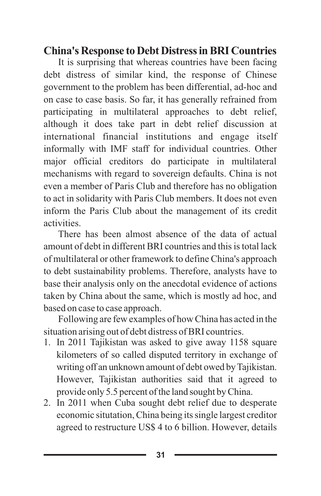#### **China's Response to Debt Distress in BRI Countries**

It is surprising that whereas countries have been facing debt distress of similar kind, the response of Chinese government to the problem has been differential, ad-hoc and on case to case basis. So far, it has generally refrained from participating in multilateral approaches to debt relief, although it does take part in debt relief discussion at international financial institutions and engage itself informally with IMF staff for individual countries. Other major official creditors do participate in multilateral mechanisms with regard to sovereign defaults. China is not even a member of Paris Club and therefore has no obligation to act in solidarity with Paris Club members. It does not even inform the Paris Club about the management of its credit activities.

There has been almost absence of the data of actual amount of debt in different BRI countries and this is total lack of multilateral or other framework to define China's approach to debt sustainability problems. Therefore, analysts have to base their analysis only on the anecdotal evidence of actions taken by China about the same, which is mostly ad hoc, and based on case to case approach.

Following are few examples of how China has acted in the situation arising out of debt distress of BRI countries.

- 1. In 2011 Tajikistan was asked to give away 1158 square kilometers of so called disputed territory in exchange of writing off an unknown amount of debt owed by Tajikistan. However, Tajikistan authorities said that it agreed to provide only 5.5 percent of the land sought by China.
- 2. In 2011 when Cuba sought debt relief due to desperate economic situtation, China being its single largest creditor agreed to restructure US\$ 4 to 6 billion. However, details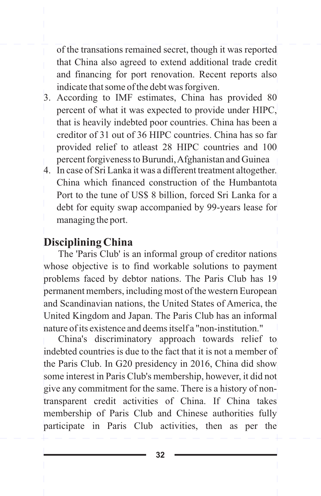of the transations remained secret, though it was reported that China also agreed to extend additional trade credit and financing for port renovation. Recent reports also indicate that some of the debt was forgiven.

- 3. According to IMF estimates, China has provided 80 percent of what it was expected to provide under HIPC, that is heavily indebted poor countries. China has been a creditor of 31 out of 36 HIPC countries. China has so far provided relief to atleast 28 HIPC countries and 100 percent forgiveness to Burundi, Afghanistan and Guinea
- 4. In case of Sri Lanka it was a different treatment altogether. China which financed construction of the Humbantota Port to the tune of US\$ 8 billion, forced Sri Lanka for a debt for equity swap accompanied by 99-years lease for managing the port.

#### **Disciplining China**

The 'Paris Club' is an informal group of creditor nations whose objective is to find workable solutions to payment problems faced by debtor nations. The Paris Club has 19 permanent members, including most of the western European and Scandinavian nations, the United States of America, the United Kingdom and Japan. The Paris Club has an informal nature of its existence and deems itself a "non-institution."

China's discriminatory approach towards relief to indebted countries is due to the fact that it is not a member of the Paris Club. In G20 presidency in 2016, China did show some interest in Paris Club's membership, however, it did not give any commitment for the same. There is a history of nontransparent credit activities of China. If China takes membership of Paris Club and Chinese authorities fully participate in Paris Club activities, then as per the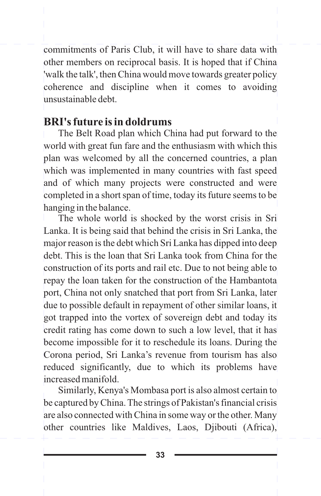commitments of Paris Club, it will have to share data with other members on reciprocal basis. It is hoped that if China 'walk the talk', then China would move towards greater policy coherence and discipline when it comes to avoiding unsustainable debt.

#### **BRI's future is in doldrums**

The Belt Road plan which China had put forward to the world with great fun fare and the enthusiasm with which this plan was welcomed by all the concerned countries, a plan which was implemented in many countries with fast speed and of which many projects were constructed and were completed in a short span of time, today its future seems to be hanging in the balance.

The whole world is shocked by the worst crisis in Sri Lanka. It is being said that behind the crisis in Sri Lanka, the major reason is the debt which Sri Lanka has dipped into deep debt. This is the loan that Sri Lanka took from China for the construction of its ports and rail etc. Due to not being able to repay the loan taken for the construction of the Hambantota port, China not only snatched that port from Sri Lanka, later due to possible default in repayment of other similar loans, it got trapped into the vortex of sovereign debt and today its credit rating has come down to such a low level, that it has become impossible for it to reschedule its loans. During the Corona period, Sri Lanka's revenue from tourism has also reduced significantly, due to which its problems have increased manifold.

Similarly, Kenya's Mombasa port is also almost certain to be captured by China. The strings of Pakistan's financial crisis are also connected with China in some way or the other. Many other countries like Maldives, Laos, Djibouti (Africa),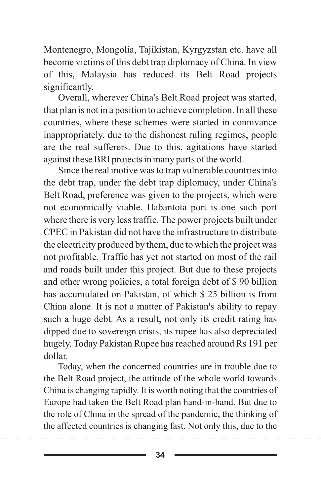Montenegro, Mongolia, Tajikistan, Kyrgyzstan etc. have all become victims of this debt trap diplomacy of China. In view of this, Malaysia has reduced its Belt Road projects significantly.

Overall, wherever China's Belt Road project was started, that plan is not in a position to achieve completion. In all these countries, where these schemes were started in connivance inappropriately, due to the dishonest ruling regimes, people are the real sufferers. Due to this, agitations have started against these BRI projects in many parts of the world.

Since the real motive was to trap vulnerable countries into the debt trap, under the debt trap diplomacy, under China's Belt Road, preference was given to the projects, which were not economically viable. Habantota port is one such port where there is very less traffic. The power projects built under CPEC in Pakistan did not have the infrastructure to distribute the electricity produced by them, due to which the project was not profitable. Traffic has yet not started on most of the rail and roads built under this project. But due to these projects and other wrong policies, a total foreign debt of \$ 90 billion has accumulated on Pakistan, of which \$ 25 billion is from China alone. It is not a matter of Pakistan's ability to repay such a huge debt. As a result, not only its credit rating has dipped due to sovereign crisis, its rupee has also depreciated hugely. Today Pakistan Rupee has reached around Rs 191 per dollar.

Today, when the concerned countries are in trouble due to the Belt Road project, the attitude of the whole world towards China is changing rapidly. It is worth noting that the countries of Europe had taken the Belt Road plan hand-in-hand. But due to the role of China in the spread of the pandemic, the thinking of the affected countries is changing fast. Not only this, due to the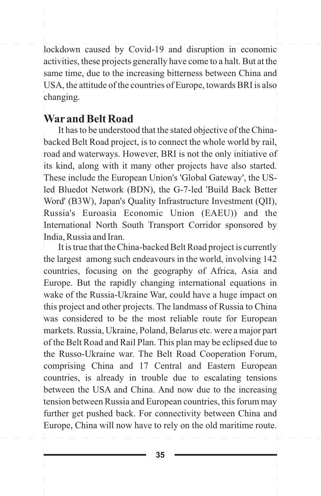lockdown caused by Covid-19 and disruption in economic activities, these projects generally have come to a halt. But at the same time, due to the increasing bitterness between China and USA, the attitude of the countries of Europe, towards BRI is also changing.

#### **War and Belt Road**

It has to be understood that the stated objective of the Chinabacked Belt Road project, is to connect the whole world by rail, road and waterways. However, BRI is not the only initiative of its kind, along with it many other projects have also started. These include the European Union's 'Global Gateway', the USled Bluedot Network (BDN), the G-7-led 'Build Back Better Word' (B3W), Japan's Quality Infrastructure Investment (QII), Russia's Euroasia Economic Union (EAEU)) and the International North South Transport Corridor sponsored by India, Russia and Iran.

It is true that the China-backed Belt Road project is currently the largest among such endeavours in the world, involving 142 countries, focusing on the geography of Africa, Asia and Europe. But the rapidly changing international equations in wake of the Russia-Ukraine War, could have a huge impact on this project and other projects. The landmass of Russia to China was considered to be the most reliable route for European markets. Russia, Ukraine, Poland, Belarus etc. were a major part of the Belt Road and Rail Plan. This plan may be eclipsed due to the Russo-Ukraine war. The Belt Road Cooperation Forum, comprising China and 17 Central and Eastern European countries, is already in trouble due to escalating tensions between the USA and China. And now due to the increasing tension between Russia and European countries, this forum may further get pushed back. For connectivity between China and Europe, China will now have to rely on the old maritime route.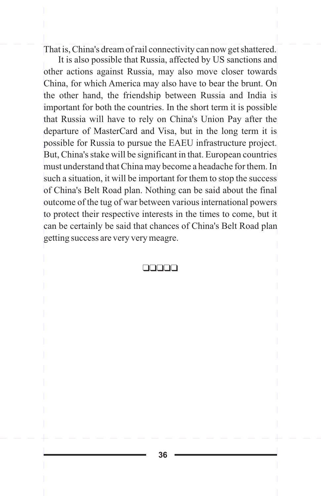That is, China's dream of rail connectivity can now get shattered.

It is also possible that Russia, affected by US sanctions and other actions against Russia, may also move closer towards China, for which America may also have to bear the brunt. On the other hand, the friendship between Russia and India is important for both the countries. In the short term it is possible that Russia will have to rely on China's Union Pay after the departure of MasterCard and Visa, but in the long term it is possible for Russia to pursue the EAEU infrastructure project. But, China's stake will be significant in that. European countries must understand that China may become a headache for them. In such a situation, it will be important for them to stop the success of China's Belt Road plan. Nothing can be said about the final outcome of the tug of war between various international powers to protect their respective interests in the times to come, but it can be certainly be said that chances of China's Belt Road plan getting success are very very meagre.

qqqqq